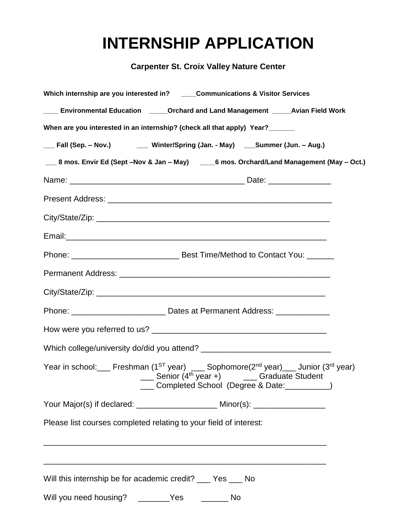## **INTERNSHIP APPLICATION**

**Carpenter St. Croix Valley Nature Center**

| Which internship are you interested in? ____Communications & Visitor Services                               |                                                                                  |                                                                                                                                                    |  |  |
|-------------------------------------------------------------------------------------------------------------|----------------------------------------------------------------------------------|----------------------------------------------------------------------------------------------------------------------------------------------------|--|--|
|                                                                                                             | Environmental Education ______Orchard and Land Management ______Avian Field Work |                                                                                                                                                    |  |  |
| When are you interested in an internship? (check all that apply) Year?                                      |                                                                                  |                                                                                                                                                    |  |  |
| __ Fall (Sep. - Nov.) ________ Winter/Spring (Jan. - May) ____Summer (Jun. - Aug.)                          |                                                                                  |                                                                                                                                                    |  |  |
|                                                                                                             |                                                                                  | ___ 8 mos. Envir Ed (Sept -Nov & Jan - May) ____ 6 mos. Orchard/Land Management (May - Oct.)                                                       |  |  |
|                                                                                                             |                                                                                  |                                                                                                                                                    |  |  |
|                                                                                                             |                                                                                  |                                                                                                                                                    |  |  |
|                                                                                                             |                                                                                  |                                                                                                                                                    |  |  |
|                                                                                                             |                                                                                  |                                                                                                                                                    |  |  |
|                                                                                                             |                                                                                  |                                                                                                                                                    |  |  |
|                                                                                                             |                                                                                  |                                                                                                                                                    |  |  |
|                                                                                                             |                                                                                  |                                                                                                                                                    |  |  |
|                                                                                                             | Phone: _________________________________Dates at Permanent Address: ____________ |                                                                                                                                                    |  |  |
|                                                                                                             |                                                                                  |                                                                                                                                                    |  |  |
|                                                                                                             |                                                                                  |                                                                                                                                                    |  |  |
|                                                                                                             | $\frac{1}{2}$ Senior (4 <sup>th</sup> year +) ______ Graduate Student            | Year in school: Freshman ( $1^{ST}$ year) __ Sophomore( $2^{nd}$ year) __ Junior ( $3^{rd}$ year)<br>Completed School (Degree & Date: ___________) |  |  |
| Your Major(s) if declared: _______________________ Minor(s): __________________                             |                                                                                  |                                                                                                                                                    |  |  |
| Please list courses completed relating to your field of interest:                                           | <u> 1989 - Johann Stoff, amerikansk politiker (* 1908)</u>                       |                                                                                                                                                    |  |  |
| Will this internship be for academic credit? __ Yes __ No<br>Will you need housing? ________Yes ________ No |                                                                                  |                                                                                                                                                    |  |  |